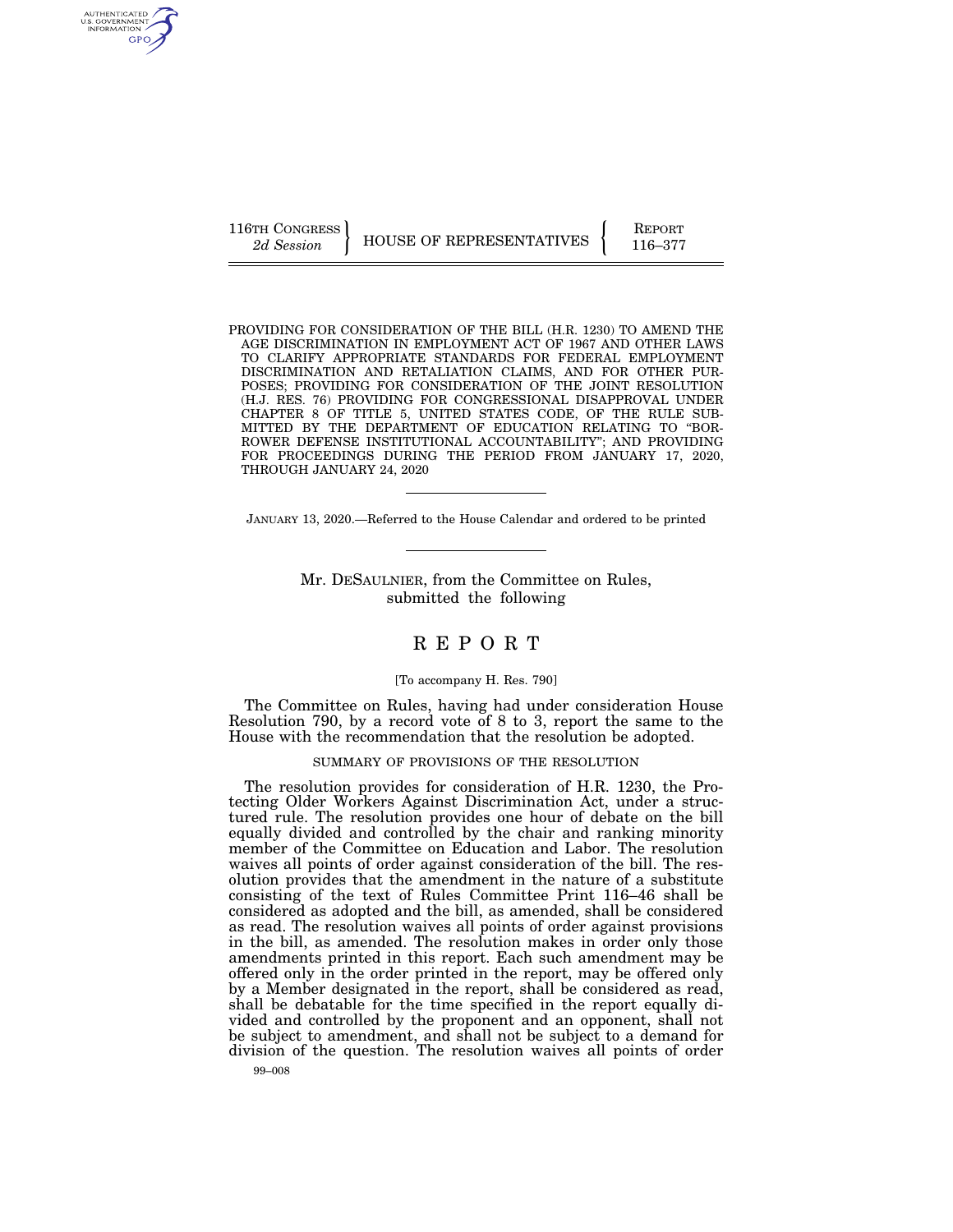AUTHENTICATED U.S. GOVERNMENT GPO

116TH CONGRESS HOUSE OF REPRESENTATIVES FEPORT 116–377

PROVIDING FOR CONSIDERATION OF THE BILL (H.R. 1230) TO AMEND THE AGE DISCRIMINATION IN EMPLOYMENT ACT OF 1967 AND OTHER LAWS TO CLARIFY APPROPRIATE STANDARDS FOR FEDERAL EMPLOYMENT DISCRIMINATION AND RETALIATION CLAIMS, AND FOR OTHER PUR-POSES; PROVIDING FOR CONSIDERATION OF THE JOINT RESOLUTION (H.J. RES. 76) PROVIDING FOR CONGRESSIONAL DISAPPROVAL UNDER CHAPTER 8 OF TITLE 5, UNITED STATES CODE, OF THE RULE SUB-MITTED BY THE DEPARTMENT OF EDUCATION RELATING TO ''BOR-ROWER DEFENSE INSTITUTIONAL ACCOUNTABILITY''; AND PROVIDING FOR PROCEEDINGS DURING THE PERIOD FROM JANUARY 17, 2020, THROUGH JANUARY 24, 2020

JANUARY 13, 2020.—Referred to the House Calendar and ordered to be printed

Mr. DESAULNIER, from the Committee on Rules, submitted the following

# R E P O R T

## [To accompany H. Res. 790]

The Committee on Rules, having had under consideration House Resolution 790, by a record vote of 8 to 3, report the same to the House with the recommendation that the resolution be adopted.

## SUMMARY OF PROVISIONS OF THE RESOLUTION

The resolution provides for consideration of H.R. 1230, the Protecting Older Workers Against Discrimination Act, under a structured rule. The resolution provides one hour of debate on the bill equally divided and controlled by the chair and ranking minority member of the Committee on Education and Labor. The resolution waives all points of order against consideration of the bill. The resolution provides that the amendment in the nature of a substitute consisting of the text of Rules Committee Print 116–46 shall be considered as adopted and the bill, as amended, shall be considered as read. The resolution waives all points of order against provisions in the bill, as amended. The resolution makes in order only those amendments printed in this report. Each such amendment may be offered only in the order printed in the report, may be offered only by a Member designated in the report, shall be considered as read, shall be debatable for the time specified in the report equally divided and controlled by the proponent and an opponent, shall not be subject to amendment, and shall not be subject to a demand for division of the question. The resolution waives all points of order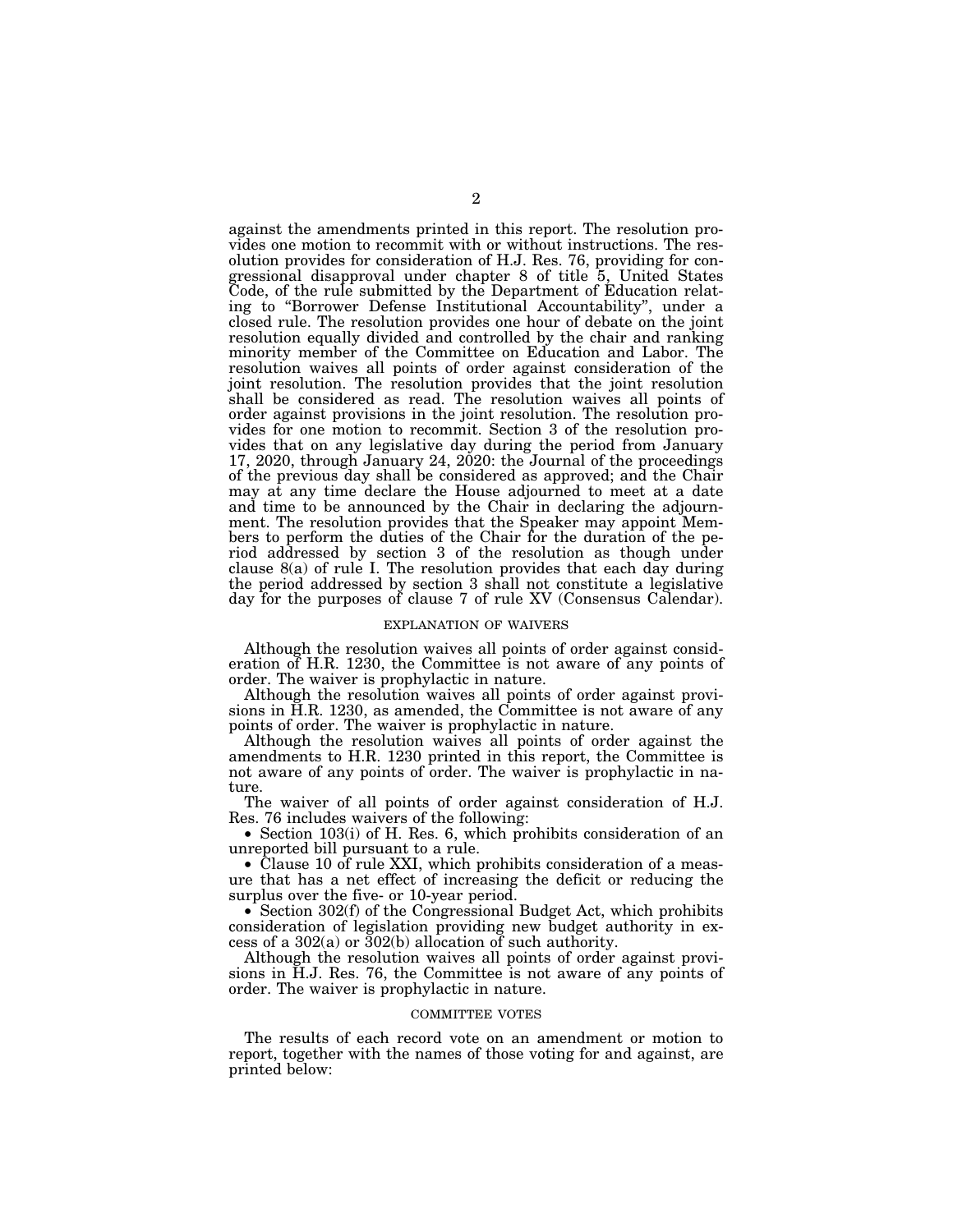against the amendments printed in this report. The resolution provides one motion to recommit with or without instructions. The resolution provides for consideration of H.J. Res. 76, providing for congressional disapproval under chapter 8 of title 5, United States Code, of the rule submitted by the Department of Education relating to ''Borrower Defense Institutional Accountability'', under a closed rule. The resolution provides one hour of debate on the joint resolution equally divided and controlled by the chair and ranking minority member of the Committee on Education and Labor. The resolution waives all points of order against consideration of the joint resolution. The resolution provides that the joint resolution shall be considered as read. The resolution waives all points of order against provisions in the joint resolution. The resolution provides for one motion to recommit. Section 3 of the resolution provides that on any legislative day during the period from January 17, 2020, through January 24, 2020: the Journal of the proceedings of the previous day shall be considered as approved; and the Chair may at any time declare the House adjourned to meet at a date and time to be announced by the Chair in declaring the adjournment. The resolution provides that the Speaker may appoint Members to perform the duties of the Chair for the duration of the period addressed by section 3 of the resolution as though under clause 8(a) of rule I. The resolution provides that each day during the period addressed by section 3 shall not constitute a legislative day for the purposes of clause 7 of rule XV (Consensus Calendar).

### EXPLANATION OF WAIVERS

Although the resolution waives all points of order against consideration of H.R. 1230, the Committee is not aware of any points of order. The waiver is prophylactic in nature.

Although the resolution waives all points of order against provisions in H.R. 1230, as amended, the Committee is not aware of any points of order. The waiver is prophylactic in nature.

Although the resolution waives all points of order against the amendments to H.R. 1230 printed in this report, the Committee is not aware of any points of order. The waiver is prophylactic in nature.

The waiver of all points of order against consideration of H.J. Res. 76 includes waivers of the following:

• Section 103(i) of H. Res. 6, which prohibits consideration of an unreported bill pursuant to a rule.

• Clause 10 of rule XXI, which prohibits consideration of a measure that has a net effect of increasing the deficit or reducing the surplus over the five- or 10-year period.

• Section 302(f) of the Congressional Budget Act, which prohibits consideration of legislation providing new budget authority in excess of a 302(a) or 302(b) allocation of such authority.

Although the resolution waives all points of order against provisions in H.J. Res. 76, the Committee is not aware of any points of order. The waiver is prophylactic in nature.

#### COMMITTEE VOTES

The results of each record vote on an amendment or motion to report, together with the names of those voting for and against, are printed below: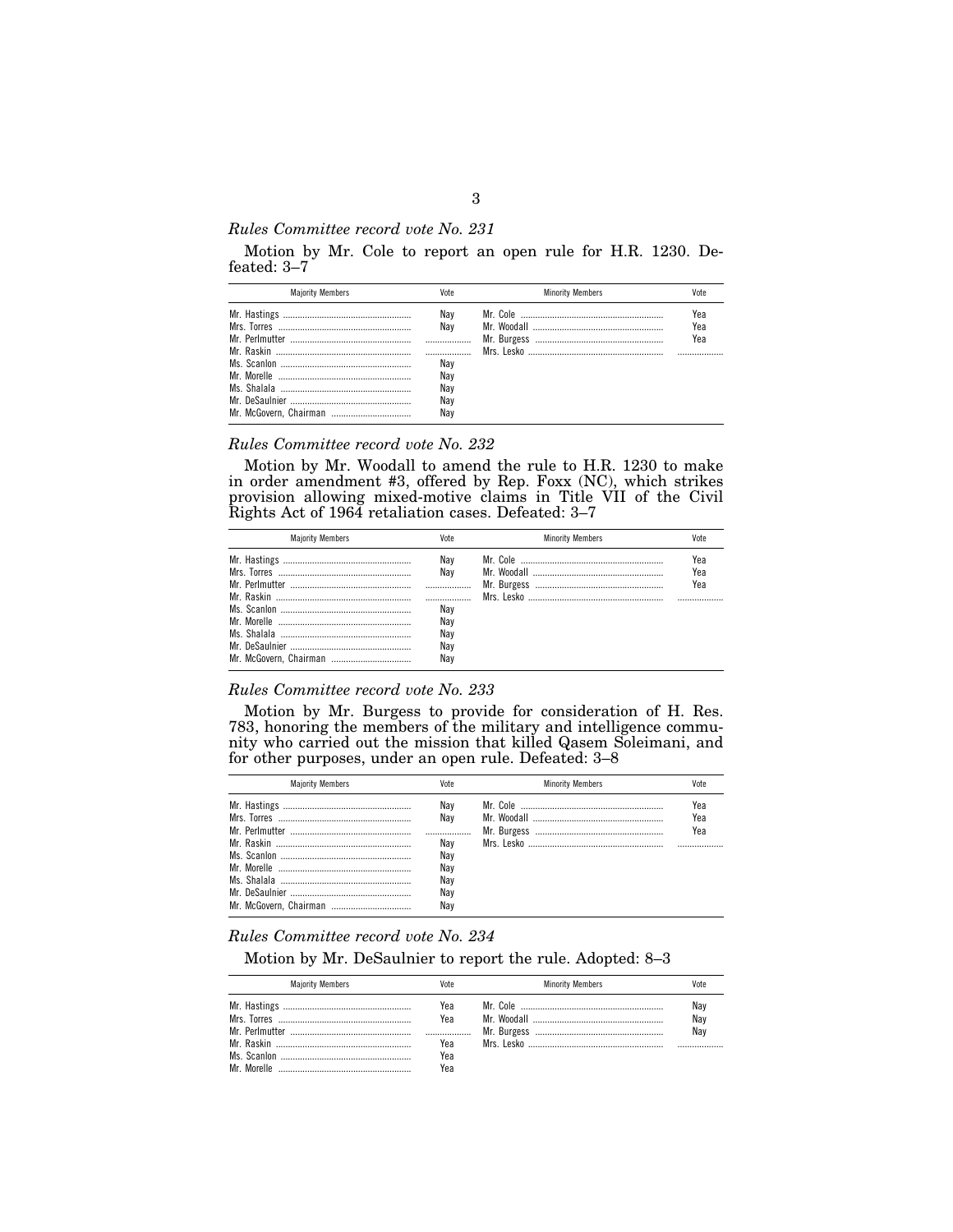## *Rules Committee record vote No. 231*

Motion by Mr. Cole to report an open rule for H.R. 1230. Defeated: 3–7

| Yea<br>Nav<br>Nav<br>Yea<br>Yea<br>Nav<br>Nav<br>Nav | <b>Maiority Members</b> | Vote | <b>Minority Members</b> | Vote |
|------------------------------------------------------|-------------------------|------|-------------------------|------|
| Nav<br>Nav                                           |                         |      |                         |      |

## *Rules Committee record vote No. 232*

Motion by Mr. Woodall to amend the rule to H.R. 1230 to make in order amendment #3, offered by Rep. Foxx (NC), which strikes provision allowing mixed-motive claims in Title VII of the Civil Rights Act of 1964 retaliation cases. Defeated: 3–7

| <b>Maiority Members</b> | Vote                                   | <b>Minority Members</b> | Vote              |
|-------------------------|----------------------------------------|-------------------------|-------------------|
|                         | Nav<br>Nav<br>Nav<br>Nav<br>Nay<br>Nav |                         | Yea<br>Yea<br>Yea |
|                         | Nav                                    |                         |                   |

## *Rules Committee record vote No. 233*

Motion by Mr. Burgess to provide for consideration of H. Res. 783, honoring the members of the military and intelligence community who carried out the mission that killed Qasem Soleimani, and for other purposes, under an open rule. Defeated: 3–8

| <b>Maiority Members</b> | Vote                                                 | <b>Minority Members</b> | Vote              |
|-------------------------|------------------------------------------------------|-------------------------|-------------------|
|                         | Nav<br>Nav<br>Nav<br>Nay<br>Nav<br>Nay<br>Nav<br>Nav |                         | Yea<br>Yea<br>Yea |

## *Rules Committee record vote No. 234*

Motion by Mr. DeSaulnier to report the rule. Adopted: 8–3

| <b>Maiority Members</b> | Vote                            | <b>Minority Members</b> | Vote              |
|-------------------------|---------------------------------|-------------------------|-------------------|
|                         | Yea<br>Yea<br>Yea<br>Yea<br>Yea |                         | Nay<br>Nay<br>Nav |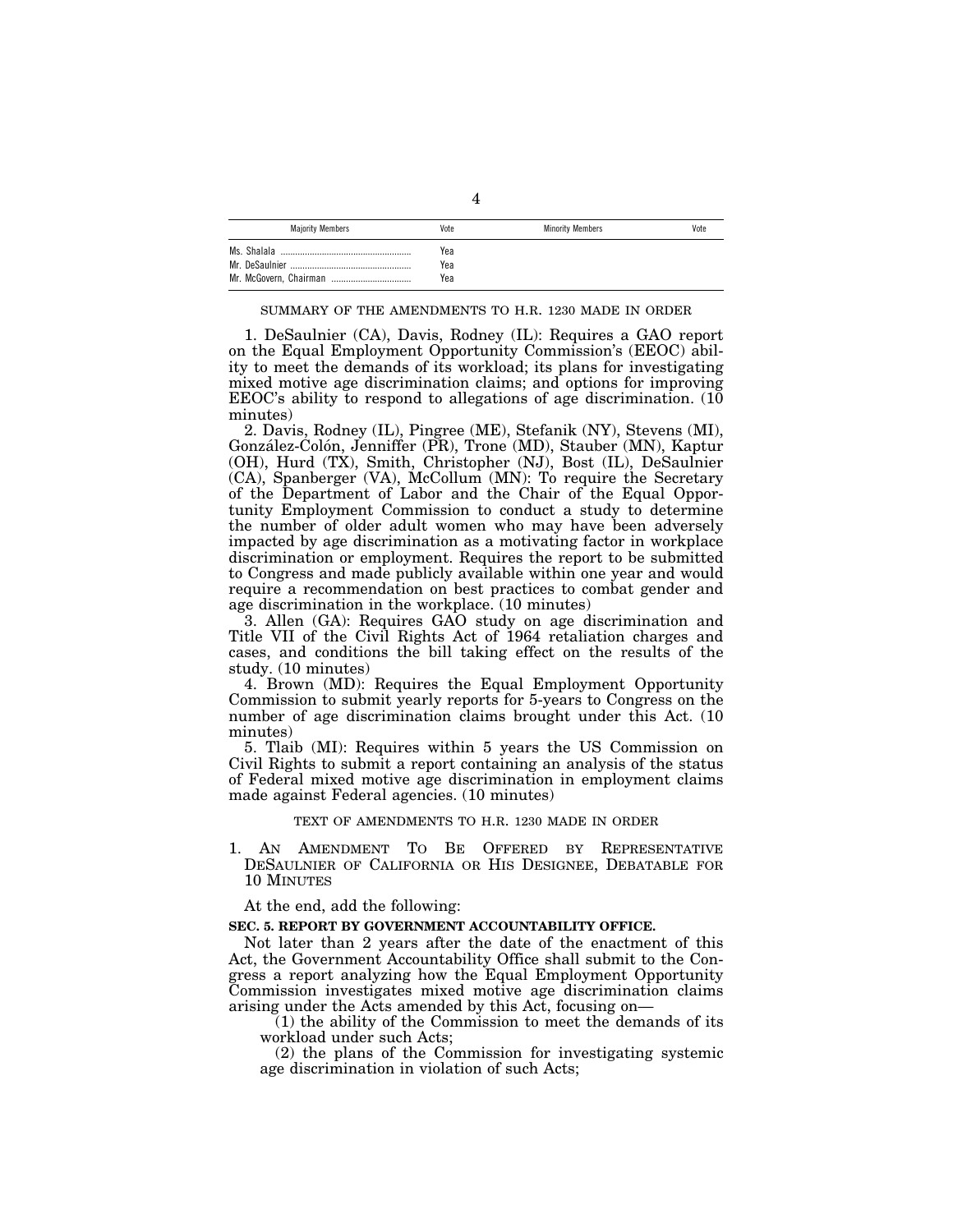| <b>Majority Members</b> | Vote | <b>Minority Members</b> | Vote |
|-------------------------|------|-------------------------|------|
| Ms. Shalala             | Yea  |                         |      |
| Mr. DeSaulnier          | Yea  |                         |      |
|                         | Yea  |                         |      |

#### SUMMARY OF THE AMENDMENTS TO H.R. 1230 MADE IN ORDER

1. DeSaulnier (CA), Davis, Rodney (IL): Requires a GAO report on the Equal Employment Opportunity Commission's (EEOC) ability to meet the demands of its workload; its plans for investigating mixed motive age discrimination claims; and options for improving EEOC's ability to respond to allegations of age discrimination. (10 minutes)

2. Davis, Rodney (IL), Pingree (ME), Stefanik (NY), Stevens (MI), González-Colón, Jenniffer (PR), Trone (MD), Stauber (MN), Kaptur (OH), Hurd (TX), Smith, Christopher (NJ), Bost (IL), DeSaulnier (CA), Spanberger (VA), McCollum (MN): To require the Secretary of the Department of Labor and the Chair of the Equal Opportunity Employment Commission to conduct a study to determine the number of older adult women who may have been adversely impacted by age discrimination as a motivating factor in workplace discrimination or employment. Requires the report to be submitted to Congress and made publicly available within one year and would require a recommendation on best practices to combat gender and age discrimination in the workplace. (10 minutes)

3. Allen (GA): Requires GAO study on age discrimination and Title VII of the Civil Rights Act of 1964 retaliation charges and cases, and conditions the bill taking effect on the results of the study. (10 minutes)

4. Brown (MD): Requires the Equal Employment Opportunity Commission to submit yearly reports for 5-years to Congress on the number of age discrimination claims brought under this Act. (10 minutes)

5. Tlaib (MI): Requires within 5 years the US Commission on Civil Rights to submit a report containing an analysis of the status of Federal mixed motive age discrimination in employment claims made against Federal agencies. (10 minutes)

## TEXT OF AMENDMENTS TO H.R. 1230 MADE IN ORDER

1. AN AMENDMENT TO BE OFFERED BY REPRESENTATIVE DESAULNIER OF CALIFORNIA OR HIS DESIGNEE, DEBATABLE FOR 10 MINUTES

At the end, add the following:

### **SEC. 5. REPORT BY GOVERNMENT ACCOUNTABILITY OFFICE.**

Not later than 2 years after the date of the enactment of this Act, the Government Accountability Office shall submit to the Congress a report analyzing how the Equal Employment Opportunity Commission investigates mixed motive age discrimination claims arising under the Acts amended by this Act, focusing on—

(1) the ability of the Commission to meet the demands of its workload under such Acts;

(2) the plans of the Commission for investigating systemic age discrimination in violation of such Acts;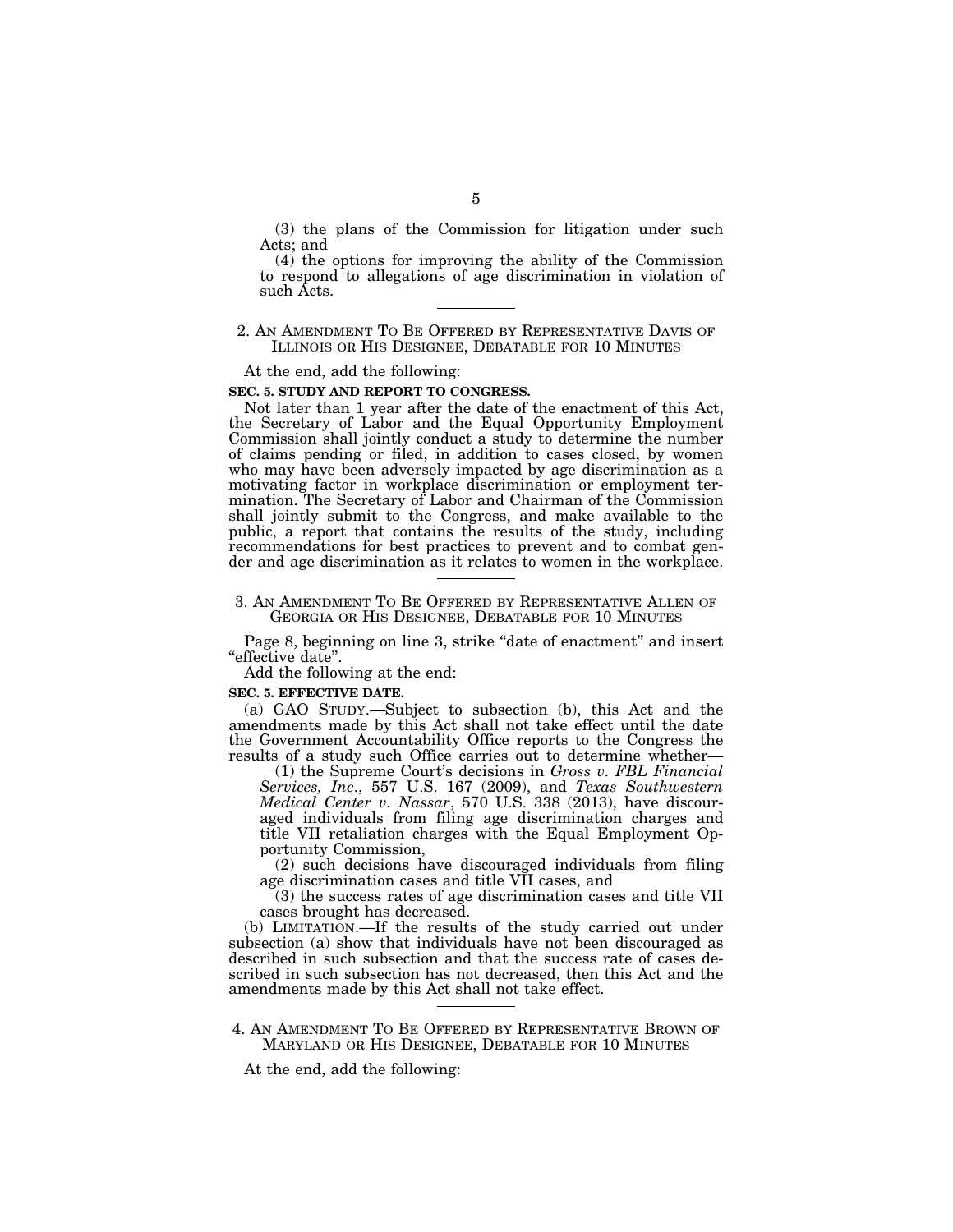(3) the plans of the Commission for litigation under such Acts; and

(4) the options for improving the ability of the Commission to respond to allegations of age discrimination in violation of such Acts.

## 2. AN AMENDMENT TO BE OFFERED BY REPRESENTATIVE DAVIS OF ILLINOIS OR HIS DESIGNEE, DEBATABLE FOR 10 MINUTES

At the end, add the following:

## **SEC. 5. STUDY AND REPORT TO CONGRESS.**

Not later than 1 year after the date of the enactment of this Act, the Secretary of Labor and the Equal Opportunity Employment Commission shall jointly conduct a study to determine the number of claims pending or filed, in addition to cases closed, by women who may have been adversely impacted by age discrimination as a motivating factor in workplace discrimination or employment termination. The Secretary of Labor and Chairman of the Commission shall jointly submit to the Congress, and make available to the public, a report that contains the results of the study, including recommendations for best practices to prevent and to combat gender and age discrimination as it relates to women in the workplace.

## 3. AN AMENDMENT TO BE OFFERED BY REPRESENTATIVE ALLEN OF GEORGIA OR HIS DESIGNEE, DEBATABLE FOR 10 MINUTES

Page 8, beginning on line 3, strike "date of enactment" and insert "effective date".

Add the following at the end:

#### **SEC. 5. EFFECTIVE DATE.**

(a) GAO STUDY.—Subject to subsection (b), this Act and the amendments made by this Act shall not take effect until the date the Government Accountability Office reports to the Congress the results of a study such Office carries out to determine whether—

(1) the Supreme Court's decisions in *Gross v. FBL Financial Services, Inc*., 557 U.S. 167 (2009), and *Texas Southwestern Medical Center v. Nassar*, 570 U.S. 338 (2013), have discouraged individuals from filing age discrimination charges and title VII retaliation charges with the Equal Employment Opportunity Commission,

(2) such decisions have discouraged individuals from filing age discrimination cases and title VII cases, and

(3) the success rates of age discrimination cases and title VII cases brought has decreased.

(b) LIMITATION.—If the results of the study carried out under subsection (a) show that individuals have not been discouraged as described in such subsection and that the success rate of cases described in such subsection has not decreased, then this Act and the amendments made by this Act shall not take effect.

## 4. AN AMENDMENT TO BE OFFERED BY REPRESENTATIVE BROWN OF MARYLAND OR HIS DESIGNEE, DEBATABLE FOR 10 MINUTES

At the end, add the following: